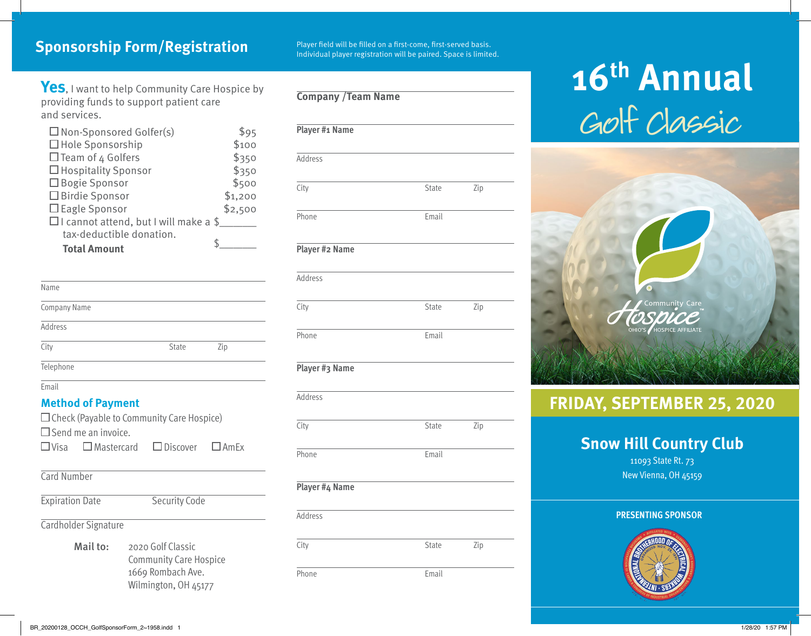**Sponsorship Form/Registration**<br>Individual player registration will be paired. Space is limited.

**Company /Team Name**

**Yes**, I want to help Community Care Hospice by providing funds to support patient care and services.

| $\square$ Non-Sponsored Golfer(s)            | \$95    |
|----------------------------------------------|---------|
| $\Box$ Hole Sponsorship                      | \$100   |
| $\Box$ Team of 4 Golfers                     | \$350   |
| $\Box$ Hospitality Sponsor                   | \$350   |
| $\Box$ Bogie Sponsor                         | \$500   |
| □ Birdie Sponsor                             | \$1,200 |
| $\Box$ Eagle Sponsor                         | \$2,500 |
| $\Box$ I cannot attend, but I will make a \$ |         |
| tax-deductible donation.                     |         |
| <b>Total Amount</b>                          |         |

| Name         |       |     |
|--------------|-------|-----|
| Company Name |       |     |
| Address      |       |     |
| City         | State | Zip |
| Telephone    |       |     |

Email

#### **Method of Payment**

| $\Box$ Check (Payable to Community Care Hospice)<br>$\Box$ Send me an invoice. |                                                           |                      |  |
|--------------------------------------------------------------------------------|-----------------------------------------------------------|----------------------|--|
|                                                                                | $\Box$ Visa $\Box$ Mastercard $\Box$ Discover $\Box$ AmEx |                      |  |
| Card Number                                                                    |                                                           |                      |  |
| <b>Expiration Date</b>                                                         |                                                           | <b>Security Code</b> |  |
|                                                                                | Cardholder Signature                                      |                      |  |
|                                                                                | $M = 11 + 2$ $\leq R = 22$                                |                      |  |

Mail to: 2020 Golf Classic Community Care Hospice 1669 Rombach Ave. Wilmington, OH 45177

| Player #1 Name |       |     |
|----------------|-------|-----|
| Address        |       |     |
| City           | State | Zip |
| Phone          | Email |     |
| Player #2 Name |       |     |

| Auurc <i>oo</i> |       |     |  |
|-----------------|-------|-----|--|
| City            | State | Zip |  |
| Phone           | Email |     |  |

#### **Player #3 Name**

**Addrocc** 

| Address        |       |     |  |
|----------------|-------|-----|--|
| City           | State | Zip |  |
| Phone          | Email |     |  |
| Player #4 Name |       |     |  |

| Address |       |     |
|---------|-------|-----|
| City    | State | Zip |
| Phone   | Email |     |

# Golf Classic **16th Annual**



# **FRIDAY, SEPTEMBER 25, 2020**

# **Snow Hill Country Club**

11093 State Rt. 73 New Vienna, OH 45159

#### **PRESENTING SPONSOR**